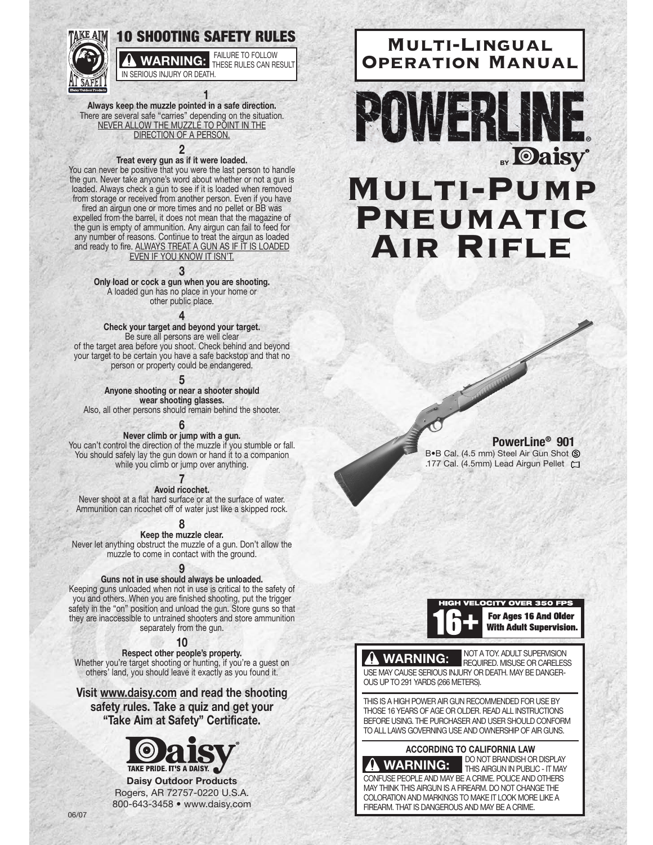

**1 Always keep the muzzle pointed in a safe direction.** There are several safe "carries" depending on the situation. NEVER ALLOW THE MUZZLE TO POINT IN THE DIRECTION OF A PERSON.

#### **2**

#### **Treat every gun as if it were loaded.**

You can never be positive that you were the last person to handle the gun. Never take anyone's word about whether or not a gun is loaded. Always check a gun to see if it is loaded when removed from storage or received from another person. Even if you have

fired an airgun one or more times and no pellet or BB was expelled from the barrel, it does not mean that the magazine of the gun is empty of ammunition. Any airgun can fail to feed for any number of reasons. Continue to treat the airgun as loaded and ready to fire. <u>ALWAYS TREAT A GUN AS IF IT IS LOADED</u> EVEN IF YOU KNOW IT ISN'T.

#### **3**

**Only load or cock a gun when you are shooting.** A loaded gun has no place in your home or other public place.

**4**

#### **Check your target and beyond your target.**

Be sure all persons are well clear of the target area before you shoot. Check behind and beyond your target to be certain you have a safe backstop and that no person or property could be endangered.

**5**

**Anyone shooting or near a shooter should wear shooting glasses.** 

Also, all other persons should remain behind the shooter.

## **6**

**Never climb or jump with a gun.** You can't control the direction of the muzzle if you stumble or fall.

You should safely lay the gun down or hand it to a companion while you climb or jump over anything.

# **7**

**Avoid ricochet.**  Never shoot at a flat hard surface or at the surface of water. Ammunition can ricochet off of water just like a skipped rock.

**8**

**Keep the muzzle clear.**  Never let anything obstruct the muzzle of a gun. Don't allow the muzzle to come in contact with the ground.

## **9**

#### **Guns not in use should always be unloaded.**

Keeping guns unloaded when not in use is critical to the safety of you and others. When you are finished shooting, put the trigger safety in the "on" position and unload the gun. Store guns so that they are inaccessible to untrained shooters and store ammunition separately from the gun.

**10**

**Respect other people's property.**  Whether you're target shooting or hunting, if you're a guest on others' land, you should leave it exactly as you found it.

**Visit www.daisy.com and read the shooting safety rules. Take a quiz and get your "Take Aim at Safety" Certificate.**



**Daisy Outdoor Products** Rogers, AR 72757-0220 U.S.A. 800-643-3458 • www.daisy.com



**BOWERLINE Daisy® Multi-Pump Pneumatic Air Rifle**

**PowerLine® 901**

B•B Cal. (4.5 mm) Steel Air Gun Shot S 177 Cal. (4.5mm) Lead Airgun Pellet C



NOT A TOY. ADULT SUPERVISION

# **WARNING:**

REQUIRED. MISUSE OR CARELESS USE MAY CAUSE SERIOUS INJURY OR DEATH. MAY BE DANGER-OUS UP TO 291 YARDS (266 METERS).

THIS IS A HIGH POWER AIR GUN RECOMMENDED FOR USE BY THOSE 16 YEARS OF AGE OR OLDER. READ ALL INSTRUCTIONS BEFORE USING. THE PURCHASER AND USER SHOULD CONFORM TO ALL LAWS GOVERNING USE AND OWNERSHIP OF AIR GUNS.



DO NOT BRANDISH OR DISPLAY THIS AIRGUN IN PUBLIC - IT MAY CONFUSE PEOPLE AND MAY BE A CRIME. POLICE AND OTHERS MAY THINK THIS AIRGUN IS A FIREARM. DO NOT CHANGE THE COLORATION AND MARKINGS TO MAKE IT LOOK MORE LIKE A FIREARM. THAT IS DANGEROUS AND MAY BE A CRIME.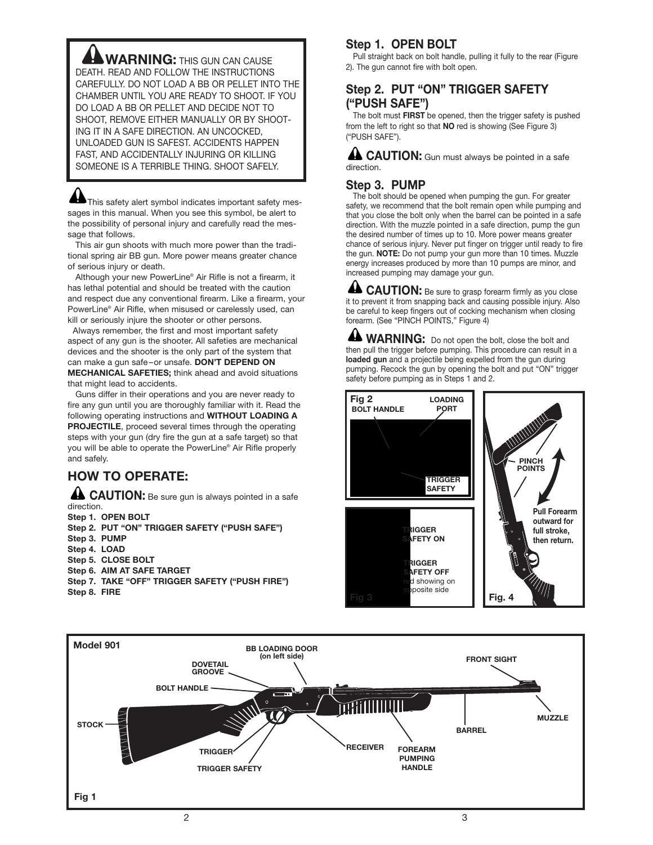**WARNING:** THIS GUN CAN CAUSE DEATH. READ AND FOLLOW THE INSTRUCTIONS CAREFULLY. DO NOT LOAD A BB OR PELLET INTO THE CHAMBER UNTIL YOU ARE READY TO SHOOT. IF YOU DO LOAD A BB OR PELLET AND DECIDE NOT TO SHOOT, REMOVE EITHER MANUALLY OR BY SHOOT-ING IT IN A SAFE DIRECTION. AN UNCOCKED, UNLOADED GUN IS SAFEST. ACCIDENTS HAPPEN FAST, AND ACCIDENTALLY INJURING OR KILLING SOMEONE IS A TERRIBLE THING. SHOOT SAFELY.

This safety alert symbol indicates important safety messages in this manual. When you see this symbol, be alert to the possibility of personal injury and carefully read the message that follows.

This air gun shoots with much more power than the traditional spring air BB gun. More power means greater chance of serious injury or death.

Although your new PowerLine® Air Rifle is not a firearm, it has lethal potential and should be treated with the caution and respect due any conventional firearm. Like a firearm, your PowerLine® Air Rifle, when misused or carelessly used, can kill or seriously injure the shooter or other persons.

Always remember, the first and most important safety aspect of any gun is the shooter. All safeties are mechanical devices and the shooter is the only part of the system that can make a gun safe –or unsafe. **DON'T DEPEND ON MECHANICAL SAFETIES;** think ahead and avoid situations that might lead to accidents.

Guns differ in their operations and you are never ready to fire any gun until you are thoroughly familiar with it. Read the following operating instructions and **WITHOUT LOADING A PROJECTILE**, proceed several times through the operating steps with your gun (dry fire the gun at a safe target) so that you will be able to operate the PowerLine® Air Rifle properly and safely.

# **HOW TO OPERATE:**

**LA CAUTION:** Be sure gun is always pointed in a safe direction. **Step 1. OPEN BOLT Step 2. PUT "ON" TRIGGER SAFETY ("PUSH SAFE")**

**Step 3. PUMP Step 4. LOAD Step 5. CLOSE BOLT Step 6. AIM AT SAFE TARGET Step 7. TAKE "OFF" TRIGGER SAFETY ("PUSH FIRE") Step 8. FIRE**

# **Step 1. OPEN BOLT**

Pull straight back on bolt handle, pulling it fully to the rear (Figure 2). The gun cannot fire with bolt open.

# **Step 2. PUT "ON" TRIGGER SAFETY ("PUSH SAFE")**

The bolt must **FIRST** be opened, then the trigger safety is pushed from the left to right so that **NO** red is showing (See Figure 3) ("PUSH SAFE").

**A CAUTION:** Gun must always be pointed in a safe direction.

# **Step 3. PUMP**

The bolt should be opened when pumping the gun. For greater safety, we recommend that the bolt remain open while pumping and that you close the bolt only when the barrel can be pointed in a safe direction. With the muzzle pointed in a safe direction, pump the gun the desired number of times up to 10. More power means greater chance of serious injury. Never put finger on trigger until ready to fire the gun. **NOTE:** Do not pump your gun more than 10 times. Muzzle energy increases produced by more than 10 pumps are minor, and increased pumping may damage your gun.

**CAUTION:** Be sure to grasp forearm firmly as you close it to prevent it from snapping back and causing possible injury. Also be careful to keep fingers out of cocking mechanism when closing forearm. (See "PINCH POINTS," Figure 4)

**WARNING:** Do not open the bolt, close the bolt and then pull the trigger before pumping. This procedure can result in a **loaded gun** and a projectile being expelled from the gun during pumping. Recock the gun by opening the bolt and put "ON" trigger safety before pumping as in Steps 1 and 2.



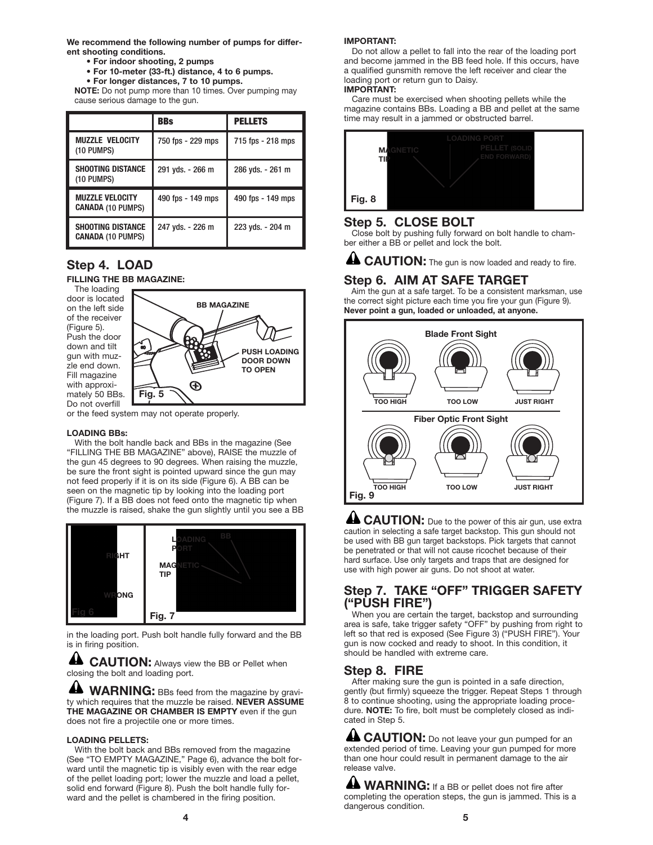**We recommend the following number of pumps for different shooting conditions.**

- **For indoor shooting, 2 pumps**
- **For 10-meter (33-ft.) distance, 4 to 6 pumps.**
- **For longer distances, 7 to 10 pumps.**

**NOTE:** Do not pump more than 10 times. Over pumping may cause serious damage to the gun.

|                                                      | <b>BBs</b>        | <b>PELLETS</b>    |
|------------------------------------------------------|-------------------|-------------------|
| <b>MUZZLE VELOCITY</b><br>(10 PUMPS)                 | 750 fps - 229 mps | 715 fps - 218 mps |
| <b>SHOOTING DISTANCE</b><br>(10 PUMPS)               | 291 yds. - 266 m  | 286 yds. - 261 m  |
| <b>MUZZLE VELOCITY</b><br><b>CANADA (10 PUMPS)</b>   | 490 fps - 149 mps | 490 fps - 149 mps |
| <b>SHOOTING DISTANCE</b><br><b>CANADA (10 PUMPS)</b> | 247 yds. - 226 m  | 223 yds. - 204 m  |

# **Step 4. LOAD**

**FILLING THE BB MAGAZINE:**

The loading door is located on the left side of the receiver (Figure 5). Push the door down and tilt gun with muzzle end down. Fill magazine with approximately 50 BBs. Do not overfill



or the feed system may not operate properly.

## **LOADING BBs:**

With the bolt handle back and BBs in the magazine (See "FILLING THE BB MAGAZINE" above), RAISE the muzzle of the gun 45 degrees to 90 degrees. When raising the muzzle, be sure the front sight is pointed upward since the gun may not feed properly if it is on its side (Figure 6). A BB can be seen on the magnetic tip by looking into the loading port (Figure 7). If a BB does not feed onto the magnetic tip when the muzzle is raised, shake the gun slightly until you see a BB



in the loading port. Push bolt handle fully forward and the BB is in firing position.

**CAUTION:** Always view the BB or Pellet when closing the bolt and loading port.

**WARNING:** BBs feed from the magazine by gravity which requires that the muzzle be raised. **NEVER ASSUME THE MAGAZINE OR CHAMBER IS EMPTY** even if the gun does not fire a projectile one or more times.

## **LOADING PELLETS:**

With the bolt back and BBs removed from the magazine (See "TO EMPTY MAGAZINE," Page 6), advance the bolt forward until the magnetic tip is visibly even with the rear edge of the pellet loading port; lower the muzzle and load a pellet, solid end forward (Figure 8). Push the bolt handle fully forward and the pellet is chambered in the firing position.

## **IMPORTANT:**

Do not allow a pellet to fall into the rear of the loading port and become jammed in the BB feed hole. If this occurs, have a qualified gunsmith remove the left receiver and clear the loading port or return gun to Daisy.

## **IMPORTANT:**

Care must be exercised when shooting pellets while the magazine contains BBs. Loading a BB and pellet at the same time may result in a jammed or obstructed barrel.



# **Step 5. CLOSE BOLT**

Close bolt by pushing fully forward on bolt handle to chamber either a BB or pellet and lock the bolt.

**ALCAUTION:** The gun is now loaded and ready to fire.

# **Step 6. AIM AT SAFE TARGET**

Aim the gun at a safe target. To be a consistent marksman, use the correct sight picture each time you fire your gun (Figure 9). **Never point a gun, loaded or unloaded, at anyone.**



**LA CAUTION:** Due to the power of this air gun, use extra caution in selecting a safe target backstop. This gun should not be used with BB gun target backstops. Pick targets that cannot be penetrated or that will not cause ricochet because of their hard surface. Use only targets and traps that are designed for use with high power air guns. Do not shoot at water.

## **Step 7. TAKE "OFF" TRIGGER SAFETY ("PUSH FIRE")**

When you are certain the target, backstop and surrounding area is safe, take trigger safety "OFF" by pushing from right to left so that red is exposed (See Figure 3) ("PUSH FIRE"). Your gun is now cocked and ready to shoot. In this condition, it should be handled with extreme care.

# **Step 8. FIRE**

After making sure the gun is pointed in a safe direction, gently (but firmly) squeeze the trigger. Repeat Steps 1 through 8 to continue shooting, using the appropriate loading procedure. **NOTE:** To fire, bolt must be completely closed as indicated in Step 5.

**LA CAUTION:** Do not leave your gun pumped for an extended period of time. Leaving your gun pumped for more than one hour could result in permanent damage to the air release valve.

**44 WARNING:** If a BB or pellet does not fire after completing the operation steps, the gun is jammed. This is a dangerous condition.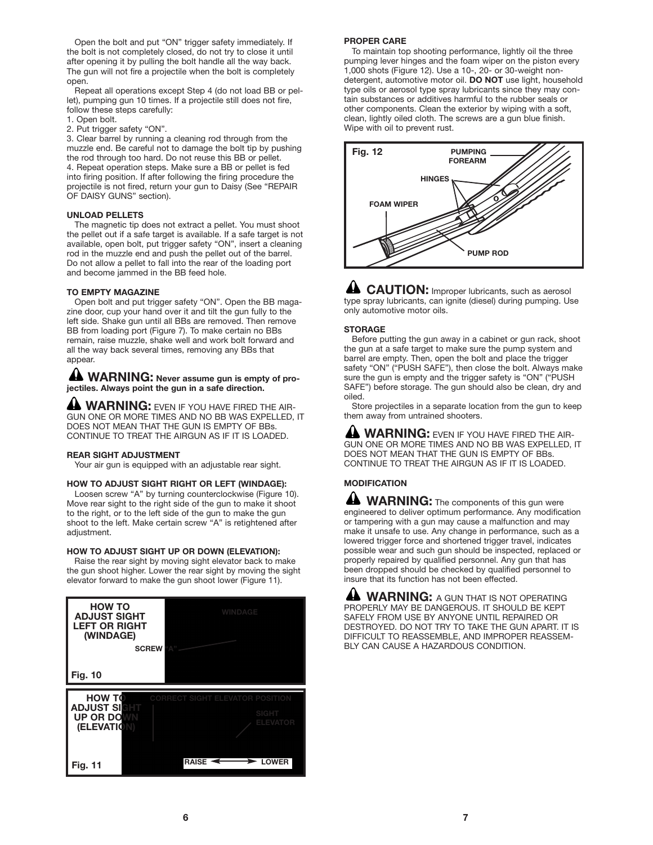Open the bolt and put "ON" trigger safety immediately. If the bolt is not completely closed, do not try to close it until after opening it by pulling the bolt handle all the way back. The gun will not fire a projectile when the bolt is completely open.

Repeat all operations except Step 4 (do not load BB or pellet), pumping gun 10 times. If a projectile still does not fire, follow these steps carefully:

- 1. Open bolt.
- 2. Put trigger safety "ON".

3. Clear barrel by running a cleaning rod through from the muzzle end. Be careful not to damage the bolt tip by pushing the rod through too hard. Do not reuse this BB or pellet. 4. Repeat operation steps. Make sure a BB or pellet is fed into firing position. If after following the firing procedure the projectile is not fired, return your gun to Daisy (See "REPAIR OF DAISY GUNS" section).

## **UNLOAD PELLETS**

The magnetic tip does not extract a pellet. You must shoot the pellet out if a safe target is available. If a safe target is not available, open bolt, put trigger safety "ON", insert a cleaning rod in the muzzle end and push the pellet out of the barrel. Do not allow a pellet to fall into the rear of the loading port and become jammed in the BB feed hole.

#### **TO EMPTY MAGAZINE**

Open bolt and put trigger safety "ON". Open the BB magazine door, cup your hand over it and tilt the gun fully to the left side. Shake gun until all BBs are removed. Then remove BB from loading port (Figure 7). To make certain no BBs remain, raise muzzle, shake well and work bolt forward and all the way back several times, removing any BBs that appear.

**WARNING: Never assume gun is empty of projectiles. Always point the gun in a safe direction.**

**A WARNING:** EVEN IF YOU HAVE FIRED THE AIR-GUN ONE OR MORE TIMES AND NO BB WAS EXPELLED, IT DOES NOT MEAN THAT THE GUN IS EMPTY OF BBs. CONTINUE TO TREAT THE AIRGUN AS IF IT IS LOADED.

### **REAR SIGHT ADJUSTMENT**

Your air gun is equipped with an adjustable rear sight.

#### **HOW TO ADJUST SIGHT RIGHT OR LEFT (WINDAGE):**

Loosen screw "A" by turning counterclockwise (Figure 10). Move rear sight to the right side of the gun to make it shoot to the right, or to the left side of the gun to make the gun shoot to the left. Make certain screw "A" is retightened after adjustment.

### **HOW TO ADJUST SIGHT UP OR DOWN (ELEVATION):**

Raise the rear sight by moving sight elevator back to make the gun shoot higher. Lower the rear sight by moving the sight elevator forward to make the gun shoot lower (Figure 11).

| <b>HOW TO</b><br><b>ADJUST SIGHT</b><br><b>LEFT OR RIGHT</b><br>(WINDAGE) | <b>WINDAGE</b><br><b>SCREW "A"</b>     |
|---------------------------------------------------------------------------|----------------------------------------|
| <b>Fig. 10</b>                                                            |                                        |
| <b>HOW TO</b>                                                             | <b>CORRECT SIGHT ELEVATOR POSITION</b> |
| <b>ADJUST SIGHT</b><br><b>UP OR DOWN</b>                                  | <b>SIGHT</b><br><b>ELEVATOR</b>        |
| (ELEVATION)                                                               |                                        |
| <b>Fig. 11</b>                                                            | <b>RAISE</b><br><b>LOWER</b>           |

#### **PROPER CARE**

To maintain top shooting performance, lightly oil the three pumping lever hinges and the foam wiper on the piston every 1,000 shots (Figure 12). Use a 10-, 20- or 30-weight nondetergent, automotive motor oil. **DO NOT** use light, household type oils or aerosol type spray lubricants since they may contain substances or additives harmful to the rubber seals or other components. Clean the exterior by wiping with a soft, clean, lightly oiled cloth. The screws are a gun blue finish. Wipe with oil to prevent rust.



**LA CAUTION:** Improper lubricants, such as aerosol type spray lubricants, can ignite (diesel) during pumping. Use only automotive motor oils.

### **STORAGE**

Before putting the gun away in a cabinet or gun rack, shoot the gun at a safe target to make sure the pump system and barrel are empty. Then, open the bolt and place the trigger safety "ON" ("PUSH SAFE"), then close the bolt. Always make sure the gun is empty and the trigger safety is "ON" ("PUSH SAFE") before storage. The gun should also be clean, dry and oiled.

Store projectiles in a separate location from the gun to keep them away from untrained shooters.

**WARNING:** EVEN IF YOU HAVE FIRED THE AIR-GUN ONE OR MORE TIMES AND NO BB WAS EXPELLED, IT DOES NOT MEAN THAT THE GUN IS EMPTY OF BBs. CONTINUE TO TREAT THE AIRGUN AS IF IT IS LOADED.

## **MODIFICATION**

**WARNING:** The components of this gun were engineered to deliver optimum performance. Any modification or tampering with a gun may cause a malfunction and may make it unsafe to use. Any change in performance, such as a lowered trigger force and shortened trigger travel, indicates possible wear and such gun should be inspected, replaced or properly repaired by qualified personnel. Any gun that has been dropped should be checked by qualified personnel to insure that its function has not been effected.

**A WARNING:** A GUN THAT IS NOT OPERATING PROPERLY MAY BE DANGEROUS. IT SHOULD BE KEPT SAFELY FROM USE BY ANYONE UNTIL REPAIRED OR DESTROYED. DO NOT TRY TO TAKE THE GUN APART. IT IS DIFFICULT TO REASSEMBLE, AND IMPROPER REASSEM-BLY CAN CAUSE A HAZARDOUS CONDITION.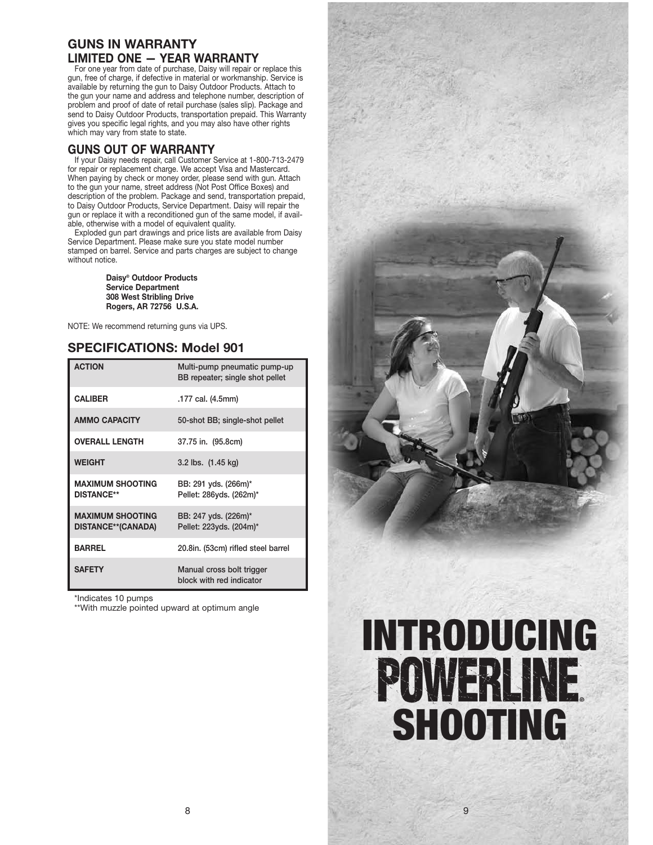# **GUNS IN WARRANTY LIMITED ONE — YEAR WARRANTY**

For one year from date of purchase, Daisy will repair or replace this gun, free of charge, if defective in material or workmanship. Service is available by returning the gun to Daisy Outdoor Products. Attach to the gun your name and address and telephone number, description of problem and proof of date of retail purchase (sales slip). Package and send to Daisy Outdoor Products, transportation prepaid. This Warranty gives you specific legal rights, and you may also have other rights which may vary from state to state.

# **GUNS OUT OF WARRANTY**

If your Daisy needs repair, call Customer Service at 1-800-713-2479 for repair or replacement charge. We accept Visa and Mastercard. When paying by check or money order, please send with gun. Attach to the gun your name, street address (Not Post Office Boxes) and description of the problem. Package and send, transportation prepaid, to Daisy Outdoor Products, Service Department. Daisy will repair the gun or replace it with a reconditioned gun of the same model, if available, otherwise with a model of equivalent quality.

Exploded gun part drawings and price lists are available from Daisy Service Department. Please make sure you state model number stamped on barrel. Service and parts charges are subject to change without notice.

> **Daisy® Outdoor Products Service Department 308 West Stribling Drive Rogers, AR 72756 U.S.A.**

NOTE: We recommend returning guns via UPS.

# **SPECIFICATIONS: Model 901**

| <b>ACTION</b>                                        | Multi-pump pneumatic pump-up<br>BB repeater; single shot pellet |
|------------------------------------------------------|-----------------------------------------------------------------|
| <b>CALIBER</b>                                       | .177 cal. (4.5mm)                                               |
| <b>AMMO CAPACITY</b>                                 | 50-shot BB; single-shot pellet                                  |
| <b>OVERALL LENGTH</b>                                | 37.75 in. (95.8cm)                                              |
| <b>WEIGHT</b>                                        | 3.2 lbs. (1.45 kg)                                              |
| <b>MAXIMUM SHOOTING</b><br><b>DISTANCE**</b>         | BB: 291 yds. (266m)*<br>Pellet: 286yds. (262m)*                 |
| <b>MAXIMUM SHOOTING</b><br><b>DISTANCE**(CANADA)</b> | BB: 247 yds. (226m)*<br>Pellet: 223yds. (204m)*                 |
| <b>BARREL</b>                                        | 20.8in. (53cm) rifled steel barrel                              |
| <b>SAFETY</b>                                        | Manual cross bolt trigger<br>block with red indicator           |

\*Indicates 10 pumps

\*\*With muzzle pointed upward at optimum angle

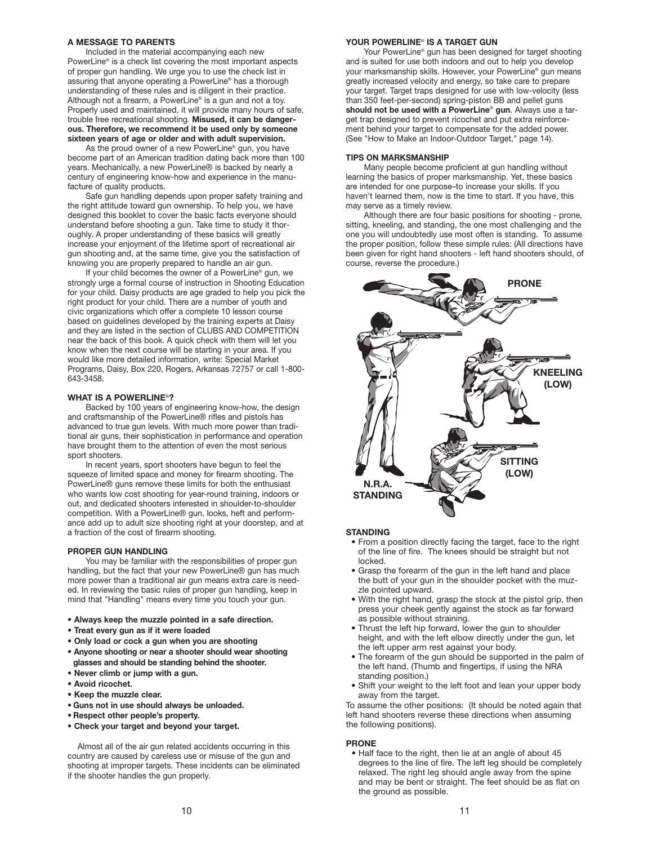### **A MESSAGE TO PARENTS**

Included in the material accompanying each new PowerLine® is a check list covering the most important aspects of proper gun handling. We urge you to use the check list in assuring that anyone operating a PowerLine® has a thorough understanding of these rules and is diligent in their practice. Although not a firearm, a PowerLine® is a gun and not a toy. Properly used and maintained, it will provide many hours of safe, trouble free recreational shooting. **Misused, it can be dangerous. Therefore, we recommend it be used only by someone sixteen years of age or older and with adult supervision.**

As the proud owner of a new PowerLine® gun, you have become part of an American tradition dating back more than 100 years. Mechanically, a new PowerLine® is backed by nearly a century of engineering know-how and experience in the manufacture of quality products.

Safe gun handling depends upon proper safety training and the right attitude toward gun ownership. To help you, we have designed this booklet to cover the basic facts everyone should understand before shooting a gun. Take time to study it thoroughly. A proper understanding of these basics will greatly increase your enjoyment of the lifetime sport of recreational air gun shooting and, at the same time, give you the satisfaction of knowing you are properly prepared to handle an air gun.

If your child becomes the owner of a PowerLine® gun, we strongly urge a formal course of instruction in Shooting Education for your child. Daisy products are age graded to help you pick the right product for your child. There are a number of youth and civic organizations which offer a complete 10 lesson course based on guidelines developed by the training experts at Daisy and they are listed in the section of CLUBS AND COMPETITION near the back of this book. A quick check with them will let you know when the next course will be starting in your area. If you would like more detailed information, write: Special Market Programs, Daisy, Box 220, Rogers, Arkansas 72757 or call 1-800- 643-3458.

#### **WHAT IS A POWERLINE**®**?**

Backed by 100 years of engineering know-how, the design and craftsmanship of the PowerLine® rifles and pistols has advanced to true gun levels. With much more power than traditional air guns, their sophistication in performance and operation have brought them to the attention of even the most serious sport shooters.

In recent years, sport shooters have begun to feel the squeeze of limited space and money for firearm shooting. The PowerLine® guns remove these limits for both the enthusiast who wants low cost shooting for year-round training, indoors or out, and dedicated shooters interested in shoulder-to-shoulder competition. With a PowerLine® gun, looks, heft and performance add up to adult size shooting right at your doorstep, and at a fraction of the cost of firearm shooting.

#### **PROPER GUN HANDLING**

You may be familiar with the responsibilities of proper gun handling, but the fact that your new PowerLine® gun has much more power than a traditional air gun means extra care is needed. In reviewing the basic rules of proper gun handling, keep in mind that "Handling" means every time you touch your gun.

- **Always keep the muzzle pointed in a safe direction.**
- **Treat every gun as if it were loaded**
- **Only load or cock a gun when you are shooting**
- **Anyone shooting or near a shooter should wear shooting glasses and should be standing behind the shooter.**
- **Never climb or jump with a gun.**
- **Avoid ricochet.**
- **Keep the muzzle clear.**
- **Guns not in use should always be unloaded.**
- **Respect other people's property.**
- **Check your target and beyond your target.**

Almost all of the air gun related accidents occurring in this country are caused by careless use or misuse of the gun and shooting at improper targets. These incidents can be eliminated if the shooter handles the gun properly.

### **YOUR POWERLINE**® **IS A TARGET GUN**

Your PowerLine® gun has been designed for target shooting and is suited for use both indoors and out to help you develop your marksmanship skills. However, your PowerLine® gun means greatly increased velocity and energy, so take care to prepare your target. Target traps designed for use with low-velocity (less than 350 feet-per-second) spring-piston BB and pellet guns **should not be used with a PowerLine**® **gun**. Always use a target trap designed to prevent ricochet and put extra reinforcement behind your target to compensate for the added power. (See "How to Make an Indoor-Outdoor Target," page 14).

#### **TIPS ON MARKSMANSHIP**

Many people become proficient at gun handling without learning the basics of proper marksmanship. Yet, these basics are intended for one purpose–to increase your skills. If you haven't learned them, now is the time to start. If you have, this may serve as a timely review.

Although there are four basic positions for shooting - prone, sitting, kneeling, and standing, the one most challenging and the one you will undoubtedly use most often is standing. To assume the proper position, follow these simple rules: (All directions have been given for right hand shooters - left hand shooters should, of course, reverse the procedure.)



#### **STANDING**

- From a position directly facing the target, face to the right of the line of fire. The knees should be straight but not locked.
- Grasp the forearm of the gun in the left hand and place the butt of your gun in the shoulder pocket with the muzzle pointed upward.
- With the right hand, grasp the stock at the pistol grip, then press your cheek gently against the stock as far forward as possible without straining.
- Thrust the left hip forward, lower the gun to shoulder height, and with the left elbow directly under the gun, let the left upper arm rest against your body.
- The forearm of the gun should be supported in the palm of the left hand. (Thumb and fingertips, if using the NRA standing position.)
- Shift your weight to the left foot and lean your upper body away from the target.

To assume the other positions: (It should be noted again that left hand shooters reverse these directions when assuming the following positions).

#### **PRONE**

• Half face to the right, then lie at an angle of about 45 degrees to the line of fire. The left leg should be completely relaxed. The right leg should angle away from the spine and may be bent or straight. The feet should be as flat on the ground as possible.